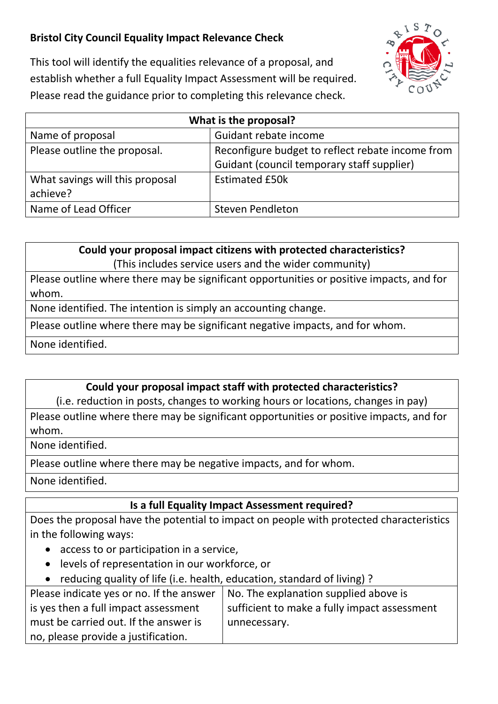## **Bristol City Council Equality Impact Relevance Check**



This tool will identify the equalities relevance of a proposal, and establish whether a full Equality Impact Assessment will be required. Please read the guidance prior to completing this relevance check.

| What is the proposal?           |                                                  |
|---------------------------------|--------------------------------------------------|
| Name of proposal                | Guidant rebate income                            |
| Please outline the proposal.    | Reconfigure budget to reflect rebate income from |
|                                 | Guidant (council temporary staff supplier)       |
| What savings will this proposal | <b>Estimated £50k</b>                            |
| achieve?                        |                                                  |
| Name of Lead Officer            | <b>Steven Pendleton</b>                          |

**Could your proposal impact citizens with protected characteristics?**

(This includes service users and the wider community)

Please outline where there may be significant opportunities or positive impacts, and for whom.

None identified. The intention is simply an accounting change.

Please outline where there may be significant negative impacts, and for whom.

None identified.

## **Could your proposal impact staff with protected characteristics?**

(i.e. reduction in posts, changes to working hours or locations, changes in pay)

Please outline where there may be significant opportunities or positive impacts, and for whom.

None identified.

Please outline where there may be negative impacts, and for whom.

None identified.

## **Is a full Equality Impact Assessment required?**

Does the proposal have the potential to impact on people with protected characteristics in the following ways:

- access to or participation in a service,
- levels of representation in our workforce, or
- reducing quality of life (i.e. health, education, standard of living) ?

| Please indicate yes or no. If the answer | No. The explanation supplied above is        |
|------------------------------------------|----------------------------------------------|
| is yes then a full impact assessment     | sufficient to make a fully impact assessment |
| must be carried out. If the answer is    | unnecessary.                                 |
| no, please provide a justification.      |                                              |